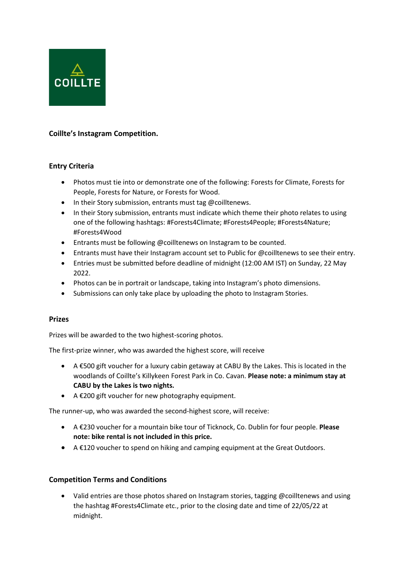

# **Coillte's Instagram Competition.**

## **Entry Criteria**

- Photos must tie into or demonstrate one of the following: Forests for Climate, Forests for People, Forests for Nature, or Forests for Wood.
- In their Story submission, entrants must tag @coilltenews.
- In their Story submission, entrants must indicate which theme their photo relates to using one of the following hashtags: #Forests4Climate; #Forests4People; #Forests4Nature; #Forests4Wood
- Entrants must be following @coilltenews on Instagram to be counted.
- Entrants must have their Instagram account set to Public for @coilltenews to see their entry.
- Entries must be submitted before deadline of midnight (12:00 AM IST) on Sunday, 22 May 2022.
- Photos can be in portrait or landscape, taking into Instagram's photo dimensions.
- Submissions can only take place by uploading the photo to Instagram Stories.

## **Prizes**

Prizes will be awarded to the two highest-scoring photos.

The first-prize winner, who was awarded the highest score, will receive

- A €500 gift voucher for a luxury cabin getaway at CABU By the Lakes. This is located in the woodlands of Coillte's Killykeen Forest Park in Co. Cavan. **Please note: a minimum stay at CABU by the Lakes is two nights.**
- A €200 gift voucher for new photography equipment.

The runner-up, who was awarded the second-highest score, will receive:

- A €230 voucher for a mountain bike tour of Ticknock, Co. Dublin for four people. **Please note: bike rental is not included in this price.**
- A €120 voucher to spend on hiking and camping equipment at the Great Outdoors.

## **Competition Terms and Conditions**

• Valid entries are those photos shared on Instagram stories, tagging @coilltenews and using the hashtag #Forests4Climate etc., prior to the closing date and time of 22/05/22 at midnight.